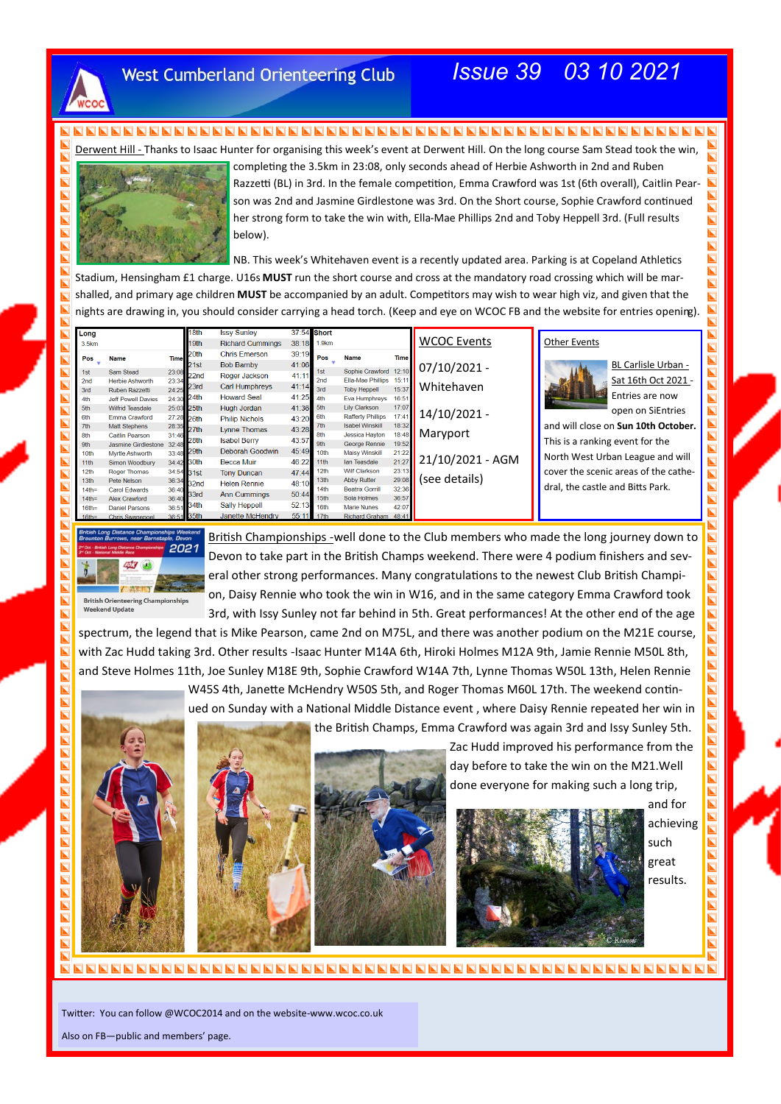

### **West Cumberland Orienteering Club**

# *Issue 39 03 10 2021*

 $\blacksquare$ 

 $\blacksquare$  $\blacksquare$  $\overline{\blacksquare}$ 

 $\blacksquare$  $\overline{\blacksquare}$  $\blacksquare$  $\blacksquare$  $\overline{\blacksquare}$ i **N** IND.  $\blacksquare$  $\overline{\blacksquare}$  $\blacksquare$  $\overline{\mathbf{h}}$  $\overline{\mathbf{z}}$ 

 $\overline{\mathbf{N}}$ 

 $\overline{\mathbf{N}}$ 

 $\blacksquare$ 

 $\blacksquare$  $\blacksquare$  $\overline{\blacksquare}$ E

 $\overline{\blacksquare}$  $\bar{\mathbf{h}}$  $\overline{\blacksquare}$  $\blacksquare$ 

 $\blacksquare$ INDI

i<br>D

 $\overline{\blacksquare}$ 

 $\overline{\blacksquare}$  $\blacksquare$  $\blacksquare$  $\blacksquare$ 

 $\overline{\mathbf{z}}$  $\blacksquare$ 

 $\blacksquare$ ē

 $\overline{\mathbf{z}}$ 

 $\overline{\mathbf{a}}$ 

Derwent Hill - Thanks to Isaac Hunter for organising this week's event at Derwent Hill. On the long course Sam Stead took the win,



completing the 3.5km in 23:08, only seconds ahead of Herbie Ashworth in 2nd and Ruben Razzetti (BL) in 3rd. In the female competition, Emma Crawford was 1st (6th overall), Caitlin Pearson was 2nd and Jasmine Girdlestone was 3rd. On the Short course, Sophie Crawford continued her strong form to take the win with, Ella-Mae Phillips 2nd and Toby Heppell 3rd. (Full results below).

NB. This week's Whitehaven event is a recently updated area. Parking is at Copeland Athletics Stadium, Hensingham £1 charge. U16s **MUST** run the short course and cross at the mandatory road crossing which will be marshalled, and primary age children **MUST** be accompanied by an adult. Competitors may wish to wear high viz, and given that the nights are drawing in, you should consider carrying a head torch. (Keep and eye on WCOC FB and the website for entries opening).

| Long             |                           |             | 18th       | <b>Issy Sunley</b>      |            | 37:54 Short      |                          |             |                    |                                      |
|------------------|---------------------------|-------------|------------|-------------------------|------------|------------------|--------------------------|-------------|--------------------|--------------------------------------|
| 3.5km            |                           |             | 19th       | <b>Richard Cummings</b> | 38:18      | 1.9km            |                          |             | <b>WCOC Events</b> | <b>Other Events</b>                  |
| Pos              | <b>Name</b>               | <b>Time</b> | 20th       | <b>Chris Emerson</b>    | 39:19      | Pos              | <b>Name</b>              | <b>Time</b> |                    |                                      |
|                  |                           |             | 21st       | <b>Bob Barnby</b>       | 41:06      |                  |                          |             | 07/10/2021 -       | BL Carlisle Urban -                  |
| 1st              | Sam Stead                 | 23:08       | 22nd       | Roger Jackson           | 41:11      | 1st              | Sophie Crawford          | 12:10       |                    |                                      |
| 2 <sub>nd</sub>  | <b>Herbie Ashworth</b>    | 23:34       | 23rd       | Carl Humphreys          | 41:14      | 2nd              | Ella-Mae Phillips        | 15:11       | Whitehaven         | Sat 16th Oct 2021 -                  |
| 3rd              | Ruben Razzetti            | 24:25       | 24th       | <b>Howard Seal</b>      | 41:25      | 3rd              | <b>Toby Heppell</b>      | 15:37       |                    | Entries are now                      |
| 4th              | <b>Jeff Powell Davies</b> | 24:30       |            |                         |            | 4th              | Eva Humphreys            | 16:51       |                    |                                      |
| 5th              | <b>Wilfrid Teasdale</b>   |             | 25:03 25th | Hugh Jordan             | 41:36 5th  |                  | <b>Lily Clarkson</b>     | 17:07       | 14/10/2021 -       | open on SiEntries                    |
| 6th              | Emma Crawford             |             | 27:28 26th | <b>Philip Nichols</b>   | 43:20      | 6th              | <b>Rafferty Phillips</b> | 17:41       |                    |                                      |
| 7th              | <b>Matt Stephens</b>      |             | 28:35 27th | <b>Lynne Thomas</b>     | 43:28      | 7th              | <b>Isabel Winskill</b>   | 18:32       | Maryport           | and will close on Sun 10th October.  |
| 8th              | <b>Caitlin Pearson</b>    | 31:46       | 28th       | <b>Isabel Berry</b>     | 43:57      | 8th              | <b>Jessica Hayton</b>    | 18:48       |                    | This is a ranking event for the      |
| 9th              | Jasmine Girdlestone 32:48 |             | 29th       | Deborah Goodwin         | 45:49      | 9 <sub>th</sub>  | George Rennie            | 19:52       |                    |                                      |
| 10th             | Myrtle Ashworth           | 33:48       |            |                         |            | 10th             | <b>Maisy Winskill</b>    | 21:22       | 21/10/2021 - AGM   | North West Urban League and will     |
| 11 <sub>th</sub> | Simon Woodbury            |             | 34:42 30th | <b>Becca Muir</b>       | 46:22      | 11 <sub>th</sub> | lan Teasdale             | 21:27       |                    |                                      |
| 12th             | <b>Roger Thomas</b>       |             | 34:54 31st | <b>Tony Duncan</b>      | 47:44      | 12 <sub>th</sub> | <b>Wilf Clarkson</b>     | 23:13       |                    | cover the scenic areas of the cathe- |
| 13 <sub>th</sub> | Pete Nelson               |             | 36:34 32nd | <b>Helen Rennie</b>     | 48:10      | 13 <sub>th</sub> | <b>Abby Rutter</b>       | 29:08       | (see details)      | dral, the castle and Bitts Park.     |
| $14th =$         | <b>Carol Edwards</b>      | 36:40       | 33rd       | <b>Ann Cummings</b>     | 50:44      | 14th             | <b>Beatrix Gorrill</b>   | 32:36       |                    |                                      |
| $14$ th=         | <b>Alex Crawford</b>      | 36:40       |            |                         | 52:13      | 15th             | Sola Holmes              | 36:57       |                    |                                      |
| $16th =$         | <b>Daniel Parsons</b>     | 36:51       | 34th       | <b>Sally Heppell</b>    |            | 16th             | <b>Marie Nunes</b>       | 42:07       |                    |                                      |
| $16th =$         | <b>Chris Swanepoel</b>    | 36:51 35th  |            | Janette McHendry        | 55:11 17th |                  | <b>Richard Graham</b>    | 48:41       |                    |                                      |



F

L

**E** 

**NEW REAL ENERGY** 

E

E

N

Ŕ

British Championships -well done to the Club members who made the long journey down to Devon to take part in the British Champs weekend. There were 4 podium finishers and several other strong performances. Many congratulations to the newest Club British Champion, Daisy Rennie who took the win in W16, and in the same category Emma Crawford took 3rd, with Issy Sunley not far behind in 5th. Great performances! At the other end of the age

spectrum, the legend that is Mike Pearson, came 2nd on M75L, and there was another podium on the M21E course, with Zac Hudd taking 3rd. Other results -Isaac Hunter M14A 6th, Hiroki Holmes M12A 9th, Jamie Rennie M50L 8th, and Steve Holmes 11th, Joe Sunley M18E 9th, Sophie Crawford W14A 7th, Lynne Thomas W50L 13th, Helen Rennie

W45S 4th, Janette McHendry W50S 5th, and Roger Thomas M60L 17th. The weekend continued on Sunday with a National Middle Distance event , where Daisy Rennie repeated her win in the British Champs, Emma Crawford was again 3rd and Issy Sunley 5th.



Zac Hudd improved his performance from the day before to take the win on the M21.Well done everyone for making such a long trip,



OD and for achieving such E great results.

Twitter: You can follow @WCOC2014 and on the website-www.wcoc.co.uk

Also on FB—public and members' page.